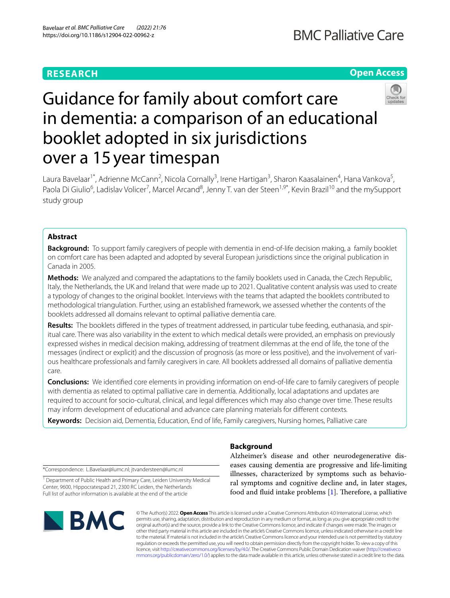# **RESEARCH**

# **Open Access**



# Guidance for family about comfort care in dementia: a comparison of an educational booklet adopted in six jurisdictions over a 15year timespan

Laura Bavelaar<sup>1\*</sup>, Adrienne McCann<sup>2</sup>, Nicola Cornally<sup>3</sup>, Irene Hartigan<sup>3</sup>, Sharon Kaasalainen<sup>4</sup>, Hana Vankova<sup>5</sup>, Paola Di Giulio<sup>6</sup>, Ladislav Volicer<sup>7</sup>, Marcel Arcand<sup>8</sup>, Jenny T. van der Steen<sup>1,9\*</sup>, Kevin Brazil<sup>10</sup> and the mySupport study group

# **Abstract**

**Background:** To support family caregivers of people with dementia in end-of-life decision making, a family booklet on comfort care has been adapted and adopted by several European jurisdictions since the original publication in Canada in 2005.

**Methods:** We analyzed and compared the adaptations to the family booklets used in Canada, the Czech Republic, Italy, the Netherlands, the UK and Ireland that were made up to 2021. Qualitative content analysis was used to create a typology of changes to the original booklet. Interviews with the teams that adapted the booklets contributed to methodological triangulation. Further, using an established framework, we assessed whether the contents of the booklets addressed all domains relevant to optimal palliative dementia care.

**Results:** The booklets difered in the types of treatment addressed, in particular tube feeding, euthanasia, and spiritual care. There was also variability in the extent to which medical details were provided, an emphasis on previously expressed wishes in medical decision making, addressing of treatment dilemmas at the end of life, the tone of the messages (indirect or explicit) and the discussion of prognosis (as more or less positive), and the involvement of various healthcare professionals and family caregivers in care. All booklets addressed all domains of palliative dementia care.

**Conclusions:** We identifed core elements in providing information on end-of-life care to family caregivers of people with dementia as related to optimal palliative care in dementia. Additionally, local adaptations and updates are required to account for socio-cultural, clinical, and legal diferences which may also change over time. These results may inform development of educational and advance care planning materials for diferent contexts.

**Keywords:** Decision aid, Dementia, Education, End of life, Family caregivers, Nursing homes, Palliative care

**Background**

\*Correspondence: L.Bavelaar@lumc.nl; jtvandersteen@lumc.nl

<sup>1</sup> Department of Public Health and Primary Care, Leiden University Medical Center, 9600, Hippocratespad 21, 2300 RC Leiden, the Netherlands Full list of author information is available at the end of the article



Alzheimer's disease and other neurodegenerative diseases causing dementia are progressive and life-limiting illnesses, characterized by symptoms such as behavioral symptoms and cognitive decline and, in later stages, food and fluid intake problems  $[1]$ . Therefore, a palliative

© The Author(s) 2022. **Open Access** This article is licensed under a Creative Commons Attribution 4.0 International License, which permits use, sharing, adaptation, distribution and reproduction in any medium or format, as long as you give appropriate credit to the original author(s) and the source, provide a link to the Creative Commons licence, and indicate if changes were made. The images or other third party material in this article are included in the article's Creative Commons licence, unless indicated otherwise in a credit line to the material. If material is not included in the article's Creative Commons licence and your intended use is not permitted by statutory regulation or exceeds the permitted use, you will need to obtain permission directly from the copyright holder. To view a copy of this licence, visit [http://creativecommons.org/licenses/by/4.0/.](http://creativecommons.org/licenses/by/4.0/) The Creative Commons Public Domain Dedication waiver ([http://creativeco](http://creativecommons.org/publicdomain/zero/1.0/) [mmons.org/publicdomain/zero/1.0/](http://creativecommons.org/publicdomain/zero/1.0/)) applies to the data made available in this article, unless otherwise stated in a credit line to the data.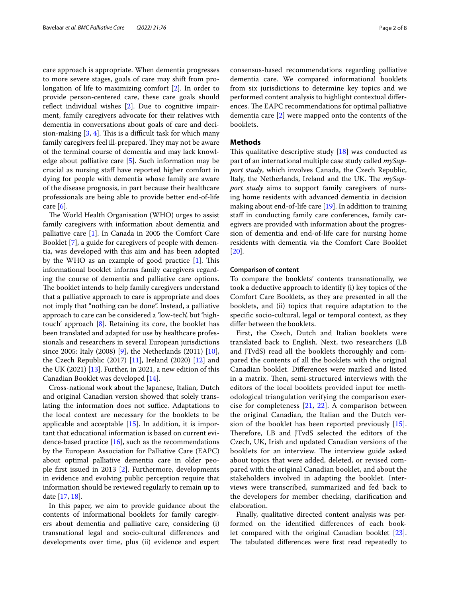care approach is appropriate. When dementia progresses to more severe stages, goals of care may shift from prolongation of life to maximizing comfort [\[2](#page-6-1)]. In order to provide person-centered care, these care goals should reflect individual wishes  $[2]$  $[2]$ . Due to cognitive impairment, family caregivers advocate for their relatives with dementia in conversations about goals of care and decision-making  $[3, 4]$  $[3, 4]$  $[3, 4]$  $[3, 4]$ . This is a difficult task for which many family caregivers feel ill-prepared. They may not be aware of the terminal course of dementia and may lack knowledge about palliative care [\[5](#page-6-4)]. Such information may be crucial as nursing staf have reported higher comfort in dying for people with dementia whose family are aware of the disease prognosis, in part because their healthcare professionals are being able to provide better end-of-life care [\[6](#page-6-5)].

The World Health Organisation (WHO) urges to assist family caregivers with information about dementia and palliative care [[1\]](#page-6-0). In Canada in 2005 the Comfort Care Booklet [\[7](#page-6-6)], a guide for caregivers of people with dementia, was developed with this aim and has been adopted by the WHO as an example of good practice  $[1]$  $[1]$ . This informational booklet informs family caregivers regarding the course of dementia and palliative care options. The booklet intends to help family caregivers understand that a palliative approach to care is appropriate and does not imply that "nothing can be done". Instead, a palliative approach to care can be considered a 'low-tech', but 'hightouch' approach [[8\]](#page-6-7). Retaining its core, the booklet has been translated and adapted for use by healthcare professionals and researchers in several European jurisdictions since 2005: Italy (2008) [\[9](#page-6-8)], the Netherlands (2011) [\[10](#page-6-9)], the Czech Republic  $(2017)$  [[11](#page-6-10)], Ireland  $(2020)$  [[12\]](#page-6-11) and the UK (2021) [\[13\]](#page-7-0). Further, in 2021, a new edition of this Canadian Booklet was developed [\[14](#page-7-1)].

Cross-national work about the Japanese, Italian, Dutch and original Canadian version showed that solely translating the information does not suffice. Adaptations to the local context are necessary for the booklets to be applicable and acceptable  $[15]$  $[15]$ . In addition, it is important that educational information is based on current evidence-based practice  $[16]$  $[16]$ , such as the recommendations by the European Association for Palliative Care (EAPC) about optimal palliative dementia care in older people frst issued in 2013 [[2\]](#page-6-1). Furthermore, developments in evidence and evolving public perception require that information should be reviewed regularly to remain up to date [[17](#page-7-4), [18\]](#page-7-5).

In this paper, we aim to provide guidance about the contents of informational booklets for family caregivers about dementia and palliative care, considering (i) transnational legal and socio-cultural diferences and developments over time, plus (ii) evidence and expert consensus-based recommendations regarding palliative dementia care. We compared informational booklets from six jurisdictions to determine key topics and we performed content analysis to highlight contextual diferences. The EAPC recommendations for optimal palliative dementia care [\[2](#page-6-1)] were mapped onto the contents of the booklets.

# **Methods**

This qualitative descriptive study  $[18]$  $[18]$  was conducted as part of an international multiple case study called *mySupport study*, which involves Canada, the Czech Republic, Italy, the Netherlands, Ireland and the UK. The *mySupport study* aims to support family caregivers of nursing home residents with advanced dementia in decision making about end-of-life care [[19\]](#page-7-6). In addition to training staff in conducting family care conferences, family caregivers are provided with information about the progression of dementia and end-of-life care for nursing home residents with dementia via the Comfort Care Booklet [[20\]](#page-7-7).

# **Comparison of content**

To compare the booklets' contents transnationally, we took a deductive approach to identify (i) key topics of the Comfort Care Booklets, as they are presented in all the booklets, and (ii) topics that require adaptation to the specifc socio-cultural, legal or temporal context, as they difer between the booklets.

First, the Czech, Dutch and Italian booklets were translated back to English. Next, two researchers (LB and JTvdS) read all the booklets thoroughly and compared the contents of all the booklets with the original Canadian booklet. Diferences were marked and listed in a matrix. Then, semi-structured interviews with the editors of the local booklets provided input for methodological triangulation verifying the comparison exercise for completeness [[21,](#page-7-8) [22](#page-7-9)]. A comparison between the original Canadian, the Italian and the Dutch version of the booklet has been reported previously [[15](#page-7-2)]. Therefore, LB and JTvdS selected the editors of the Czech, UK, Irish and updated Canadian versions of the booklets for an interview. The interview guide asked about topics that were added, deleted, or revised compared with the original Canadian booklet, and about the stakeholders involved in adapting the booklet. Interviews were transcribed, summarized and fed back to the developers for member checking, clarifcation and elaboration.

Finally, qualitative directed content analysis was performed on the identifed diferences of each booklet compared with the original Canadian booklet [\[23](#page-7-10)]. The tabulated differences were first read repeatedly to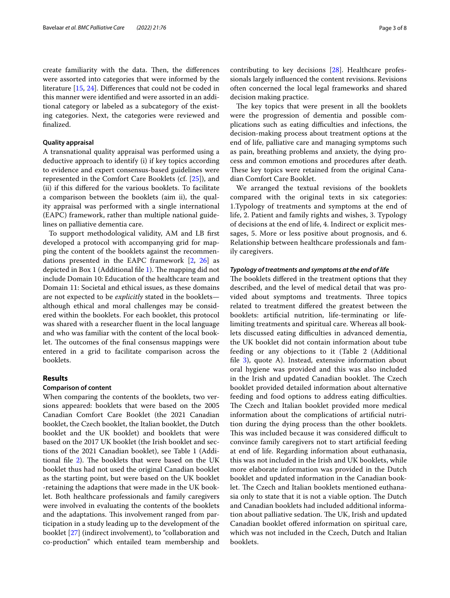create familiarity with the data. Then, the differences were assorted into categories that were informed by the literature [\[15](#page-7-2), [24\]](#page-7-11). Diferences that could not be coded in this manner were identifed and were assorted in an additional category or labeled as a subcategory of the existing categories. Next, the categories were reviewed and fnalized.

# **Quality appraisal**

A transnational quality appraisal was performed using a deductive approach to identify (i) if key topics according to evidence and expert consensus-based guidelines were represented in the Comfort Care Booklets (cf. [[25\]](#page-7-12)), and (ii) if this difered for the various booklets. To facilitate a comparison between the booklets (aim ii), the quality appraisal was performed with a single international (EAPC) framework, rather than multiple national guidelines on palliative dementia care.

To support methodological validity, AM and LB frst developed a protocol with accompanying grid for mapping the content of the booklets against the recommendations presented in the EAPC framework [[2,](#page-6-1) [26\]](#page-7-13) as depicted in Box [1](#page-6-12) (Additional file  $1$ ). The mapping did not include Domain 10: Education of the healthcare team and Domain 11: Societal and ethical issues, as these domains are not expected to be *explicitly* stated in the booklets although ethical and moral challenges may be considered within the booklets. For each booklet, this protocol was shared with a researcher fuent in the local language and who was familiar with the content of the local booklet. The outcomes of the final consensus mappings were entered in a grid to facilitate comparison across the booklets.

# **Results**

# **Comparison of content**

When comparing the contents of the booklets, two versions appeared: booklets that were based on the 2005 Canadian Comfort Care Booklet (the 2021 Canadian booklet, the Czech booklet, the Italian booklet, the Dutch booklet and the UK booklet) and booklets that were based on the 2017 UK booklet (the Irish booklet and sections of the 2021 Canadian booklet), see Table 1 (Additional file  $2$ ). The booklets that were based on the UK booklet thus had not used the original Canadian booklet as the starting point, but were based on the UK booklet -retaining the adaptions that were made in the UK booklet. Both healthcare professionals and family caregivers were involved in evaluating the contents of the booklets and the adaptations. This involvement ranged from participation in a study leading up to the development of the booklet [\[27](#page-7-14)] (indirect involvement), to "collaboration and co-production" which entailed team membership and contributing to key decisions [\[28](#page-7-15)]. Healthcare professionals largely infuenced the content revisions. Revisions often concerned the local legal frameworks and shared decision making practice.

The key topics that were present in all the booklets were the progression of dementia and possible complications such as eating difficulties and infections, the decision-making process about treatment options at the end of life, palliative care and managing symptoms such as pain, breathing problems and anxiety, the dying process and common emotions and procedures after death. These key topics were retained from the original Canadian Comfort Care Booklet.

We arranged the textual revisions of the booklets compared with the original texts in six categories: 1.Typology of treatments and symptoms at the end of life, 2. Patient and family rights and wishes, 3. Typology of decisions at the end of life, 4. Indirect or explicit messages, 5. More or less positive about prognosis, and 6. Relationship between healthcare professionals and family caregivers.

## *Typology of treatments and symptoms at the end of life*

The booklets differed in the treatment options that they described, and the level of medical detail that was provided about symptoms and treatments. Three topics related to treatment difered the greatest between the booklets: artifcial nutrition, life-terminating or lifelimiting treatments and spiritual care. Whereas all booklets discussed eating difficulties in advanced dementia, the UK booklet did not contain information about tube feeding or any objections to it (Table 2 (Additional file  $3$ ), quote A). Instead, extensive information about oral hygiene was provided and this was also included in the Irish and updated Canadian booklet. The Czech booklet provided detailed information about alternative feeding and food options to address eating difficulties. The Czech and Italian booklet provided more medical information about the complications of artifcial nutrition during the dying process than the other booklets. This was included because it was considered difficult to convince family caregivers not to start artifcial feeding at end of life. Regarding information about euthanasia, this was not included in the Irish and UK booklets, while more elaborate information was provided in the Dutch booklet and updated information in the Canadian booklet. The Czech and Italian booklets mentioned euthanasia only to state that it is not a viable option. The Dutch and Canadian booklets had included additional information about palliative sedation. The UK, Irish and updated Canadian booklet ofered information on spiritual care, which was not included in the Czech, Dutch and Italian booklets.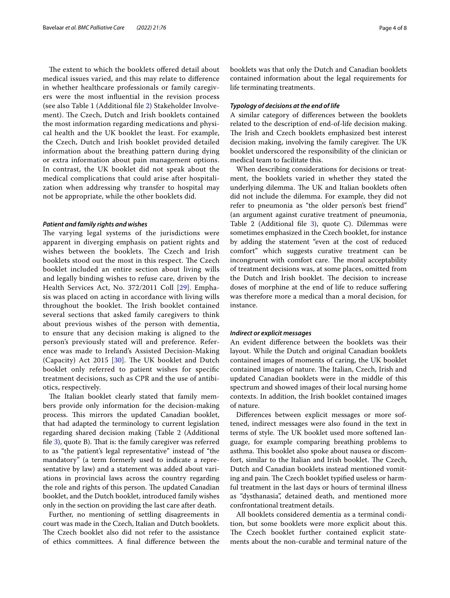The extent to which the booklets offered detail about medical issues varied, and this may relate to diference in whether healthcare professionals or family caregivers were the most infuential in the revision process (see also Table 1 (Additional fle [2](#page-6-13)) Stakeholder Involvement). The Czech, Dutch and Irish booklets contained the most information regarding medications and physical health and the UK booklet the least. For example, the Czech, Dutch and Irish booklet provided detailed information about the breathing pattern during dying or extra information about pain management options. In contrast, the UK booklet did not speak about the medical complications that could arise after hospitalization when addressing why transfer to hospital may not be appropriate, while the other booklets did.

## *Patient and family rights and wishes*

The varying legal systems of the jurisdictions were apparent in diverging emphasis on patient rights and wishes between the booklets. The Czech and Irish booklets stood out the most in this respect. The Czech booklet included an entire section about living wills and legally binding wishes to refuse care, driven by the Health Services Act, No. 372/2011 Coll [[29\]](#page-7-16). Emphasis was placed on acting in accordance with living wills throughout the booklet. The Irish booklet contained several sections that asked family caregivers to think about previous wishes of the person with dementia, to ensure that any decision making is aligned to the person's previously stated will and preference. Reference was made to Ireland's Assisted Decision-Making (Capacity) Act 2015 [ $30$ ]. The UK booklet and Dutch booklet only referred to patient wishes for specifc treatment decisions, such as CPR and the use of antibiotics, respectively.

The Italian booklet clearly stated that family members provide only information for the decision-making process. This mirrors the updated Canadian booklet, that had adapted the terminology to current legislation regarding shared decision making (Table 2 (Additional file  $3$ ), quote B). That is: the family caregiver was referred to as "the patient's legal representative" instead of "the mandatory" (a term formerly used to indicate a representative by law) and a statement was added about variations in provincial laws across the country regarding the role and rights of this person. The updated Canadian booklet, and the Dutch booklet, introduced family wishes only in the section on providing the last care after death.

Further, no mentioning of settling disagreements in court was made in the Czech, Italian and Dutch booklets. The Czech booklet also did not refer to the assistance of ethics committees. A fnal diference between the booklets was that only the Dutch and Canadian booklets contained information about the legal requirements for life terminating treatments.

# *Typology of decisions at the end of life*

A similar category of diferences between the booklets related to the description of end-of-life decision making. The Irish and Czech booklets emphasized best interest decision making, involving the family caregiver. The UK booklet underscored the responsibility of the clinician or medical team to facilitate this.

When describing considerations for decisions or treatment, the booklets varied in whether they stated the underlying dilemma. The UK and Italian booklets often did not include the dilemma. For example, they did not refer to pneumonia as "the older person's best friend" (an argument against curative treatment of pneumonia, Table 2 (Additional file  $3$ ), quote C). Dilemmas were sometimes emphasized in the Czech booklet, for instance by adding the statement "even at the cost of reduced comfort" which suggests curative treatment can be incongruent with comfort care. The moral acceptability of treatment decisions was, at some places, omitted from the Dutch and Irish booklet. The decision to increase doses of morphine at the end of life to reduce sufering was therefore more a medical than a moral decision, for instance.

# *Indirect or explicit messages*

An evident diference between the booklets was their layout. While the Dutch and original Canadian booklets contained images of moments of caring, the UK booklet contained images of nature. The Italian, Czech, Irish and updated Canadian booklets were in the middle of this spectrum and showed images of their local nursing home contexts. In addition, the Irish booklet contained images of nature.

Diferences between explicit messages or more softened, indirect messages were also found in the text in terms of style. The UK booklet used more softened language, for example comparing breathing problems to asthma. This booklet also spoke about nausea or discomfort, similar to the Italian and Irish booklet. The Czech, Dutch and Canadian booklets instead mentioned vomiting and pain. The Czech booklet typified useless or harmful treatment in the last days or hours of terminal illness as "dysthanasia", detained death, and mentioned more confrontational treatment details.

All booklets considered dementia as a terminal condition, but some booklets were more explicit about this. The Czech booklet further contained explicit statements about the non-curable and terminal nature of the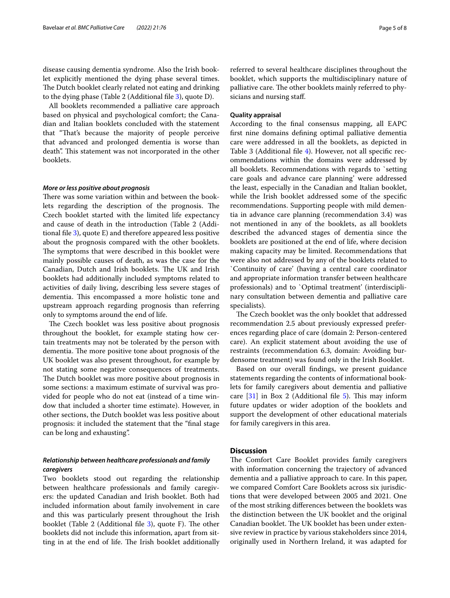disease causing dementia syndrome. Also the Irish booklet explicitly mentioned the dying phase several times. The Dutch booklet clearly related not eating and drinking to the dying phase (Table 2 (Additional fle [3](#page-6-14)), quote D).

All booklets recommended a palliative care approach based on physical and psychological comfort; the Canadian and Italian booklets concluded with the statement that "That's because the majority of people perceive that advanced and prolonged dementia is worse than death". This statement was not incorporated in the other booklets.

# *More or less positive about prognosis*

There was some variation within and between the booklets regarding the description of the prognosis. The Czech booklet started with the limited life expectancy and cause of death in the introduction (Table 2 (Additional fle [3\)](#page-6-14), quote E) and therefore appeared less positive about the prognosis compared with the other booklets. The symptoms that were described in this booklet were mainly possible causes of death, as was the case for the Canadian, Dutch and Irish booklets. The UK and Irish booklets had additionally included symptoms related to activities of daily living, describing less severe stages of dementia. This encompassed a more holistic tone and upstream approach regarding prognosis than referring only to symptoms around the end of life.

The Czech booklet was less positive about prognosis throughout the booklet, for example stating how certain treatments may not be tolerated by the person with dementia. The more positive tone about prognosis of the UK booklet was also present throughout, for example by not stating some negative consequences of treatments. The Dutch booklet was more positive about prognosis in some sections: a maximum estimate of survival was provided for people who do not eat (instead of a time window that included a shorter time estimate). However, in other sections, the Dutch booklet was less positive about prognosis: it included the statement that the "fnal stage can be long and exhausting".

# *Relationship between healthcare professionals and family caregivers*

Two booklets stood out regarding the relationship between healthcare professionals and family caregivers: the updated Canadian and Irish booklet. Both had included information about family involvement in care and this was particularly present throughout the Irish booklet (Table 2 (Additional file  $3$ ), quote F). The other booklets did not include this information, apart from sitting in at the end of life. The Irish booklet additionally referred to several healthcare disciplines throughout the booklet, which supports the multidisciplinary nature of palliative care. The other booklets mainly referred to physicians and nursing staf.

# **Quality appraisal**

According to the fnal consensus mapping, all EAPC frst nine domains defning optimal palliative dementia care were addressed in all the booklets, as depicted in Table 3 (Additional fle [4\)](#page-6-15). However, not all specifc recommendations within the domains were addressed by all booklets. Recommendations with regards to `setting care goals and advance care planning' were addressed the least, especially in the Canadian and Italian booklet, while the Irish booklet addressed some of the specifc recommendations. Supporting people with mild dementia in advance care planning (recommendation 3.4) was not mentioned in any of the booklets, as all booklets described the advanced stages of dementia since the booklets are positioned at the end of life, where decision making capacity may be limited. Recommendations that were also not addressed by any of the booklets related to `Continuity of care' (having a central care coordinator and appropriate information transfer between healthcare professionals) and to `Optimal treatment' (interdisciplinary consultation between dementia and palliative care specialists).

The Czech booklet was the only booklet that addressed recommendation 2.5 about previously expressed preferences regarding place of care (domain 2: Person-centered care). An explicit statement about avoiding the use of restraints (recommendation 6.3, domain: Avoiding burdensome treatment) was found only in the Irish Booklet.

Based on our overall fndings, we present guidance statements regarding the contents of informational booklets for family caregivers about dementia and palliative care  $[31]$  $[31]$  in Box 2 (Additional file  $5$ ). This may inform future updates or wider adoption of the booklets and support the development of other educational materials for family caregivers in this area.

# **Discussion**

The Comfort Care Booklet provides family caregivers with information concerning the trajectory of advanced dementia and a palliative approach to care. In this paper, we compared Comfort Care Booklets across six jurisdictions that were developed between 2005 and 2021. One of the most striking diferences between the booklets was the distinction between the UK booklet and the original Canadian booklet. The UK booklet has been under extensive review in practice by various stakeholders since 2014, originally used in Northern Ireland, it was adapted for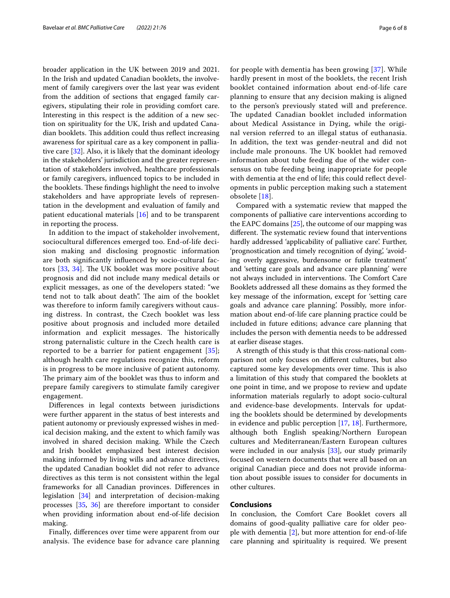broader application in the UK between 2019 and 2021. In the Irish and updated Canadian booklets, the involvement of family caregivers over the last year was evident from the addition of sections that engaged family caregivers, stipulating their role in providing comfort care. Interesting in this respect is the addition of a new section on spirituality for the UK, Irish and updated Canadian booklets. This addition could thus reflect increasing awareness for spiritual care as a key component in palliative care [[32\]](#page-7-19). Also, it is likely that the dominant ideology in the stakeholders' jurisdiction and the greater representation of stakeholders involved, healthcare professionals or family caregivers, infuenced topics to be included in the booklets. These findings highlight the need to involve stakeholders and have appropriate levels of representation in the development and evaluation of family and patient educational materials [[16\]](#page-7-3) and to be transparent in reporting the process.

In addition to the impact of stakeholder involvement, sociocultural diferences emerged too. End-of-life decision making and disclosing prognostic information are both signifcantly infuenced by socio-cultural factors  $[33, 34]$  $[33, 34]$  $[33, 34]$  $[33, 34]$ . The UK booklet was more positive about prognosis and did not include many medical details or explicit messages, as one of the developers stated: "we tend not to talk about death". The aim of the booklet was therefore to inform family caregivers without causing distress. In contrast, the Czech booklet was less positive about prognosis and included more detailed information and explicit messages. The historically strong paternalistic culture in the Czech health care is reported to be a barrier for patient engagement [[35](#page-7-22)]; although health care regulations recognize this, reform is in progress to be more inclusive of patient autonomy. The primary aim of the booklet was thus to inform and prepare family caregivers to stimulate family caregiver engagement.

Diferences in legal contexts between jurisdictions were further apparent in the status of best interests and patient autonomy or previously expressed wishes in medical decision making, and the extent to which family was involved in shared decision making. While the Czech and Irish booklet emphasized best interest decision making informed by living wills and advance directives, the updated Canadian booklet did not refer to advance directives as this term is not consistent within the legal frameworks for all Canadian provinces. Diferences in legislation [\[34\]](#page-7-21) and interpretation of decision-making processes [[35](#page-7-22), [36\]](#page-7-23) are therefore important to consider when providing information about end-of-life decision making.

Finally, diferences over time were apparent from our analysis. The evidence base for advance care planning for people with dementia has been growing [\[37\]](#page-7-24). While hardly present in most of the booklets, the recent Irish booklet contained information about end-of-life care planning to ensure that any decision making is aligned to the person's previously stated will and preference. The updated Canadian booklet included information about Medical Assistance in Dying, while the original version referred to an illegal status of euthanasia. In addition, the text was gender-neutral and did not include male pronouns. The UK booklet had removed information about tube feeding due of the wider consensus on tube feeding being inappropriate for people with dementia at the end of life; this could refect developments in public perception making such a statement obsolete [[18\]](#page-7-5).

Compared with a systematic review that mapped the components of palliative care interventions according to the EAPC domains  $[25]$  $[25]$ , the outcome of our mapping was different. The systematic review found that interventions hardly addressed 'applicability of palliative care'. Further, 'prognostication and timely recognition of dying', 'avoiding overly aggressive, burdensome or futile treatment' and 'setting care goals and advance care planning' were not always included in interventions. The Comfort Care Booklets addressed all these domains as they formed the key message of the information, except for 'setting care goals and advance care planning'. Possibly, more information about end-of-life care planning practice could be included in future editions; advance care planning that includes the person with dementia needs to be addressed at earlier disease stages.

A strength of this study is that this cross-national comparison not only focuses on diferent cultures, but also captured some key developments over time. This is also a limitation of this study that compared the booklets at one point in time, and we propose to review and update information materials regularly to adopt socio-cultural and evidence-base developments. Intervals for updating the booklets should be determined by developments in evidence and public perception [[17,](#page-7-4) [18\]](#page-7-5). Furthermore, although both English speaking/Northern European cultures and Mediterranean/Eastern European cultures were included in our analysis [\[33\]](#page-7-20), our study primarily focused on western documents that were all based on an original Canadian piece and does not provide information about possible issues to consider for documents in other cultures.

# **Conclusions**

In conclusion, the Comfort Care Booklet covers all domains of good-quality palliative care for older people with dementia [[2\]](#page-6-1), but more attention for end-of-life care planning and spirituality is required. We present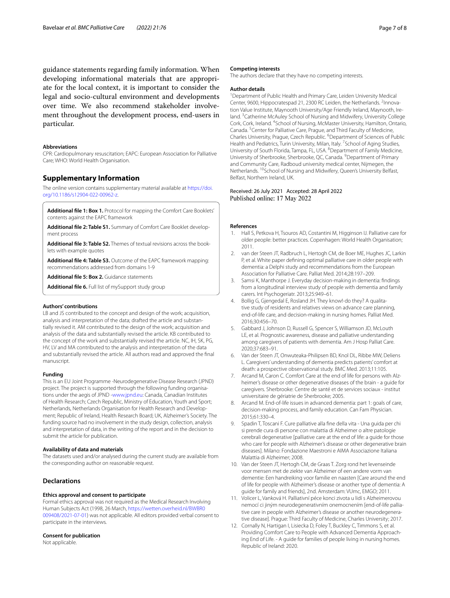guidance statements regarding family information. When developing informational materials that are appropriate for the local context, it is important to consider the legal and socio-cultural environment and developments over time. We also recommend stakeholder involvement throughout the development process, end-users in particular.

# **Abbreviations**

CPR: Cardiopulmonary resuscitation; EAPC: European Association for Palliative Care; WHO: World Health Organisation.

# **Supplementary Information**

The online version contains supplementary material available at [https://doi.](https://doi.org/10.1186/s12904-022-00962-z) [org/10.1186/s12904-022-00962-z.](https://doi.org/10.1186/s12904-022-00962-z)

<span id="page-6-13"></span><span id="page-6-12"></span>**Additional fle 1: Box 1.** Protocol for mapping the Comfort Care Booklets' contents against the EAPC framework

<span id="page-6-14"></span>**Additional fle 2: Table S1.** Summary of Comfort Care Booklet development process

<span id="page-6-15"></span>**Additional fle 3: Table S2.** Themes of textual revisions across the booklets with example quotes

<span id="page-6-16"></span>**Additional fle 4: Table S3.** Outcome of the EAPC framework mapping: recommendations addressed from domains 1-9

**Additional fle 5: Box 2.** Guidance statements

**Additional fle 6.** Full list of mySupport study group

#### **Authors' contributions**

LB and JS contributed to the concept and design of the work; acquisition, analysis and interpretation of the data; drafted the article and substantially revised it. AM contributed to the design of the work; acquisition and analysis of the data and substantially revised the article. KB contributed to the concept of the work and substantially revised the article. NC, IH, SK, PG, HV, LV and MA contributed to the analysis and interpretation of the data and substantially revised the article. All authors read and approved the fnal manuscript.

#### **Funding**

This is an EU Joint Programme -Neurodegenerative Disease Research (JPND) project. The project is supported through the following funding organisations under the aegis of JPND -[www.jpnd.eu:](http://www.jpnd.eu) Canada, Canadian Institutes of Health Research; Czech Republic, Ministry of Education, Youth and Sport; Netherlands, Netherlands Organisation for Health Research and Development; Republic of Ireland, Health Research Board; UK, Alzheimer's Society. The funding source had no involvement in the study design, collection, analysis and interpretation of data, in the writing of the report and in the decision to submit the article for publication.

# **Availability of data and materials**

The datasets used and/or analysed during the current study are available from the corresponding author on reasonable request.

# **Declarations**

# **Ethics approval and consent to participate**

Formal ethics approval was not required as the Medical Research Involving Human Subjects Act (1998, 26 March, [https://wetten.overheid.nl/BWBR0](https://wetten.overheid.nl/BWBR0009408/2021-07-01) [009408/2021-07-01](https://wetten.overheid.nl/BWBR0009408/2021-07-01)) was not applicable. All editors provided verbal consent to participate in the interviews.

#### **Consent for publication**

Not applicable.

# **Competing interests**

The authors declare that they have no competing interests.

# **Author details**

<sup>1</sup> Department of Public Health and Primary Care, Leiden University Medical Center, 9600, Hippocratespad 21, 2300 RC Leiden, the Netherlands. <sup>2</sup>Innovation Value Institute, Maynooth University/Age Friendly Ireland, Maynooth, Ireland.<sup>3</sup> Catherine McAuley School of Nursing and Midwifery, University College Cork, Cork, Ireland. <sup>4</sup> School of Nursing, McMaster University, Hamilton, Ontario, Canada.<sup>5</sup> Center for Palliative Care, Prague, and Third Faculty of Medicine, Charles University, Prague, Czech Republic. <sup>6</sup> Department of Sciences of Public Health and Pediatrics, Turin University, Milan, Italy. <sup>7</sup> School of Aging Studies, University of South Florida, Tampa, FL, USA. <sup>8</sup> Department of Family Medicine, University of Sherbrooke, Sherbrooke, QC, Canada. <sup>9</sup> Department of Primary and Community Care, Radboud university medical center, Nijmegen, the Netherlands. <sup>10</sup>School of Nursing and Midwifery, Queen's University Belfast, Belfast, Northern Ireland, UK.

# Received: 26 July 2021 Accepted: 28 April 2022 Published online: 17 May 2022

# **References**

- <span id="page-6-0"></span>1. Hall S, Petkova H, Tsouros AD, Costantini M, Higginson IJ. Palliative care for older people: better practices. Copenhagen: World Health Organisation; 2011.
- <span id="page-6-1"></span>2. van der Steen JT, Radbruch L, Hertogh CM, de Boer ME, Hughes JC, Larkin P, et al. White paper defning optimal palliative care in older people with dementia: a Delphi study and recommendations from the European Association for Palliative Care. Palliat Med. 2014;28:197–209.
- <span id="page-6-2"></span>3. Samsi K, Manthorpe J. Everyday decision-making in dementia: fndings from a longitudinal interview study of people with dementia and family carers. Int Psychogeriatr. 2013;25:949–61.
- <span id="page-6-3"></span>Bollig G, Gjengedal E, Rosland JH. They know!-do they? A qualitative study of residents and relatives views on advance care planning, end-of-life care, and decision-making in nursing homes. Palliat Med. 2016;30:456–70.
- <span id="page-6-4"></span>5. Gabbard J, Johnson D, Russell G, Spencer S, Williamson JD, McLouth LE, et al. Prognostic awareness, disease and palliative understanding among caregivers of patients with dementia. Am J Hosp Palliat Care. 2020;37:683–91.
- <span id="page-6-5"></span>6. Van der Steen JT, Onwuteaka-Philipsen BD, Knol DL, Ribbe MW, Deliens L. Caregivers' understanding of dementia predicts patients' comfort at death: a prospective observational study. BMC Med. 2013;11:105.
- <span id="page-6-6"></span>7. Arcand M, Caron C. Comfort Care at the end of life for persons with Alzheimer's disease or other degenerative diseases of the brain - a guide for caregivers. Sherbrooke: Centre de santé et de services sociaux - institut universitaire de gériatrie de Sherbrooke; 2005.
- <span id="page-6-7"></span>8. Arcand M. End-of-life issues in advanced dementia: part 1: goals of care, decision-making process, and family education. Can Fam Physician. 2015;61:330–4.
- <span id="page-6-8"></span>9. Spadin T, Toscani F. Cure palliative alla fne della vita - Una guida per chi si prende cura di persone con malattia di Alzheimer o altre patologie cerebrali degenerative [palliative care at the end of life: a guide for those who care for people with Alzheimer's disease or other degenerative brain diseases]. Milano: Fondazione Maestroni e AIMA Associazione Italiana Malattia di Alzheimer; 2008.
- <span id="page-6-9"></span>10. Van der Steen JT, Hertogh CM, de Graas T. Zorg rond het levenseinde voor mensen met de ziekte van Alzheimer of een andere vorm van dementie: Een handreiking voor familie en naasten [Care around the end of life for people with Alzheimer's disease or another type of dementia: A guide for family and friends], 2nd. Amsterdam: VUmc, EMGO; 2011.
- <span id="page-6-10"></span>11. Volicer L, Vanková H. Palliativní péce konci zivota u lidí s Alzheimerovou nemocí ci jiným neurodegenerativním onemocnením [end-of-life palliative care in people with Alzheimer's disease or another neurodegenerative disease]. Prague: Third Faculty of Medicine, Charles University; 2017.
- <span id="page-6-11"></span>12. Cornally N, Hartigan I, Lisiecka D, Foley T, Buckley C, Timmons S, et al. Providing Comfort Care to People with Advanced Dementia Approaching End of Life. - A guide for families of people living in nursing homes. Republic of Ireland: 2020.